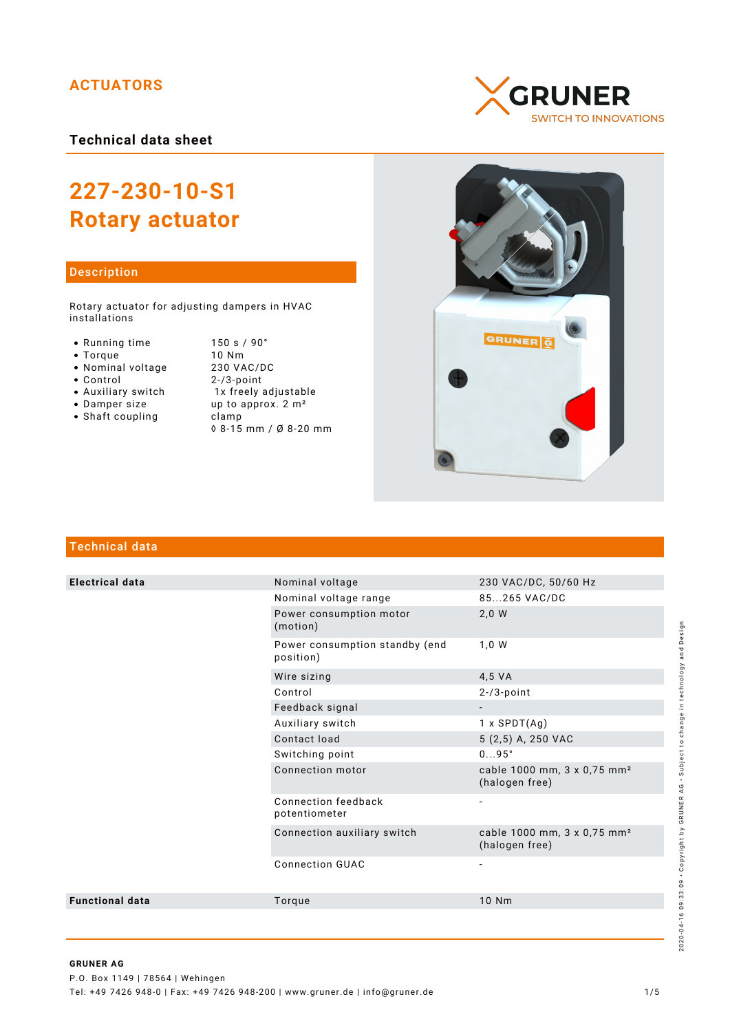# **ACTUATORS**

**Technical data sheet**

# **227-230-10-S1 Rotary actuator**

## Description

Rotary actuator for adjusting dampers in HVAC installations

- 
- 
- 
- Nominal voltage<br>• Control
- 
- 
- $\bullet$  Shaft coupling

• Running time 150 s / 90°<br>• Torque 10 Nm • Torque 10 Nm<br>• Nominal voltage 230 VAC/DC  $2-/3$ -point • Auxiliary switch 1x freely adjustable • Damper size  $\frac{1}{2}$  up to approx. 2 m<sup>2</sup><br>• Shaft coupling clamp ◊ 8-15 mm / Ø 8-20 mm





# Technical data

| <b>Electrical data</b> | Nominal voltage                             | 230 VAC/DC, 50/60 Hz                                      |
|------------------------|---------------------------------------------|-----------------------------------------------------------|
|                        | Nominal voltage range                       | 85265 VAC/DC                                              |
|                        | Power consumption motor<br>(motion)         | 2,0 W                                                     |
|                        | Power consumption standby (end<br>position) | 1,0 W                                                     |
|                        | Wire sizing                                 | 4,5 VA                                                    |
|                        | Control                                     | $2 - 73$ -point                                           |
|                        | Feedback signal                             |                                                           |
|                        | Auxiliary switch                            | $1 x$ SPDT $(Ag)$                                         |
|                        | Contact load                                | 5 (2,5) A, 250 VAC                                        |
|                        | Switching point                             | $095^\circ$                                               |
|                        | Connection motor                            | cable 1000 mm, 3 x 0,75 mm <sup>2</sup><br>(halogen free) |
|                        | Connection feedback<br>potentiometer        | $\overline{\phantom{a}}$                                  |
|                        | Connection auxiliary switch                 | cable 1000 mm, 3 x 0,75 mm <sup>2</sup><br>(halogen free) |
|                        | <b>Connection GUAC</b>                      | $\overline{\phantom{0}}$                                  |
| <b>Functional data</b> | Torque                                      | 10 Nm                                                     |
|                        |                                             |                                                           |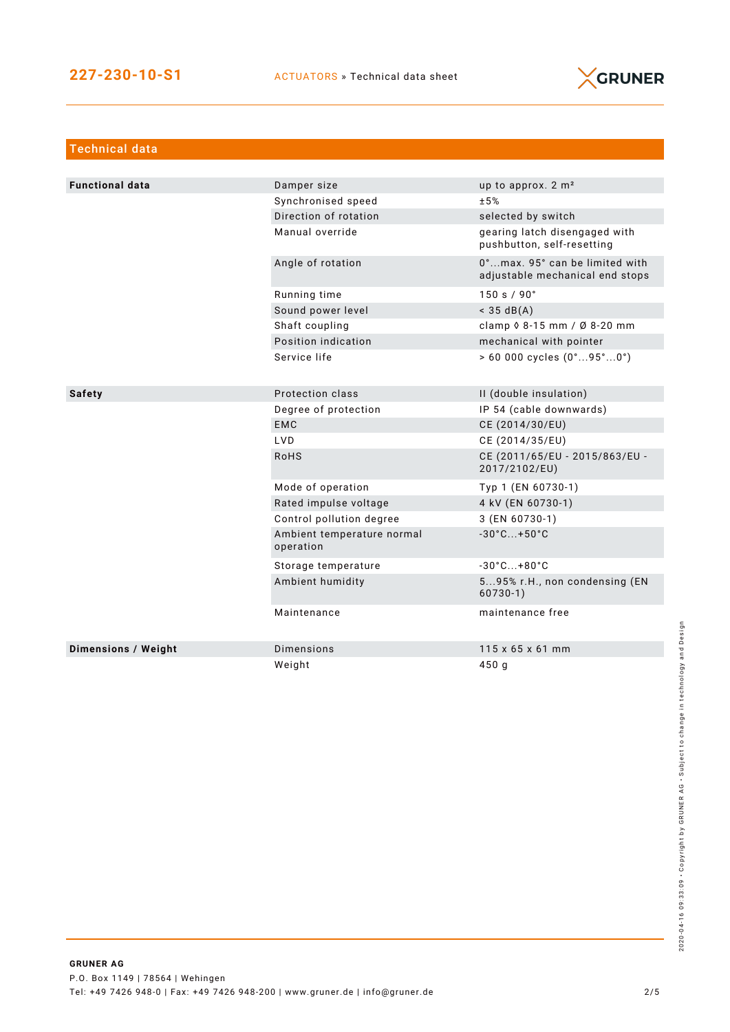

| <b>Technical data</b>  |                                         |                                                                   |
|------------------------|-----------------------------------------|-------------------------------------------------------------------|
|                        |                                         |                                                                   |
| <b>Functional data</b> | Damper size                             | up to approx. $2 \text{ m}^2$                                     |
|                        | Synchronised speed                      | ±5%                                                               |
|                        | Direction of rotation                   | selected by switch                                                |
|                        | Manual override                         | gearing latch disengaged with<br>pushbutton, self-resetting       |
|                        | Angle of rotation                       | 0°max. 95° can be limited with<br>adjustable mechanical end stops |
|                        | Running time                            | 150 s / 90°                                                       |
|                        | Sound power level                       | $<$ 35 dB(A)                                                      |
|                        | Shaft coupling                          | clamp $\sqrt{8}$ -15 mm / Ø 8-20 mm                               |
|                        | Position indication                     | mechanical with pointer                                           |
|                        | Service life                            | $> 60000$ cycles $(0^{\circ}95^{\circ}0^{\circ})$                 |
| <b>Safety</b>          | Protection class                        | II (double insulation)                                            |
|                        | Degree of protection                    | IP 54 (cable downwards)                                           |
|                        | <b>EMC</b>                              | CE (2014/30/EU)                                                   |
|                        | LVD.                                    | CE (2014/35/EU)                                                   |
|                        | <b>RoHS</b>                             | CE (2011/65/EU - 2015/863/EU -<br>2017/2102/EU)                   |
|                        | Mode of operation                       | Typ 1 (EN 60730-1)                                                |
|                        | Rated impulse voltage                   | 4 kV (EN 60730-1)                                                 |
|                        | Control pollution degree                | 3 (EN 60730-1)                                                    |
|                        | Ambient temperature normal<br>operation | $-30^{\circ}$ C +50 $^{\circ}$ C                                  |
|                        | Storage temperature                     | $-30^{\circ}$ C +80 $^{\circ}$ C                                  |
|                        | Ambient humidity                        | 595% r.H., non condensing (EN<br>$60730-1)$                       |
|                        | Maintenance                             | maintenance free                                                  |
| Dimensions / Weight    | <b>Dimensions</b>                       | $115 \times 65 \times 61$ mm                                      |
|                        | Weight                                  | 450 g                                                             |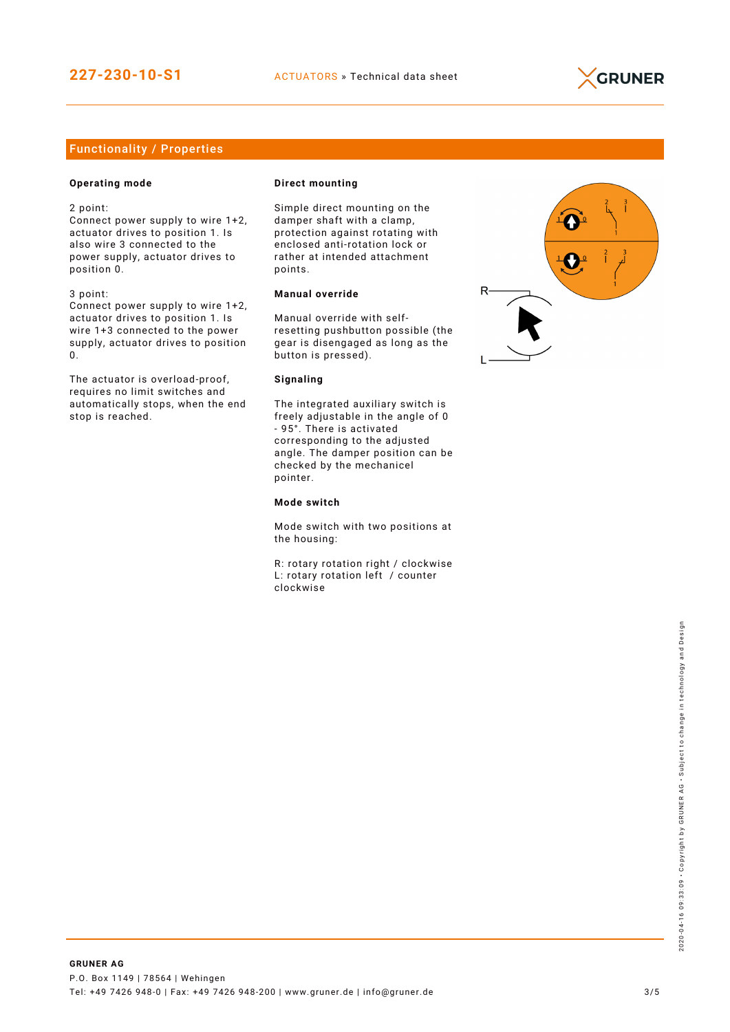

# Functionality / Properties

## **Operating mode**

2 point:

Connect power supply to wire 1+2, actuator drives to position 1. Is also wire 3 connected to the power supply, actuator drives to position 0.

3 point:

Connect power supply to wire 1+2, actuator drives to position 1. Is wire 1+3 connected to the power supply, actuator drives to position 0.

The actuator is overload-proof, requires no limit switches and automatically stops, when the end stop is reached.

#### **Direct mounting**

Simple direct mounting on the damper shaft with a clamp, protection against rotating with enclosed anti-rotation lock or rather at intended attachment points.

### **Manual override**

Manual override with selfresetting pushbutton possible (the gear is disengaged as long as the button is pressed).

#### **Signaling**

The integrated auxiliary switch is freely adjustable in the angle of 0 - 95°. There is activated corresponding to the adjusted angle. The damper position can be checked by the mechanicel pointer.

#### **Mode switch**

Mode switch with two positions at the housing:

R: rotary rotation right / clockwise L: rotary rotation left / counter clockwise

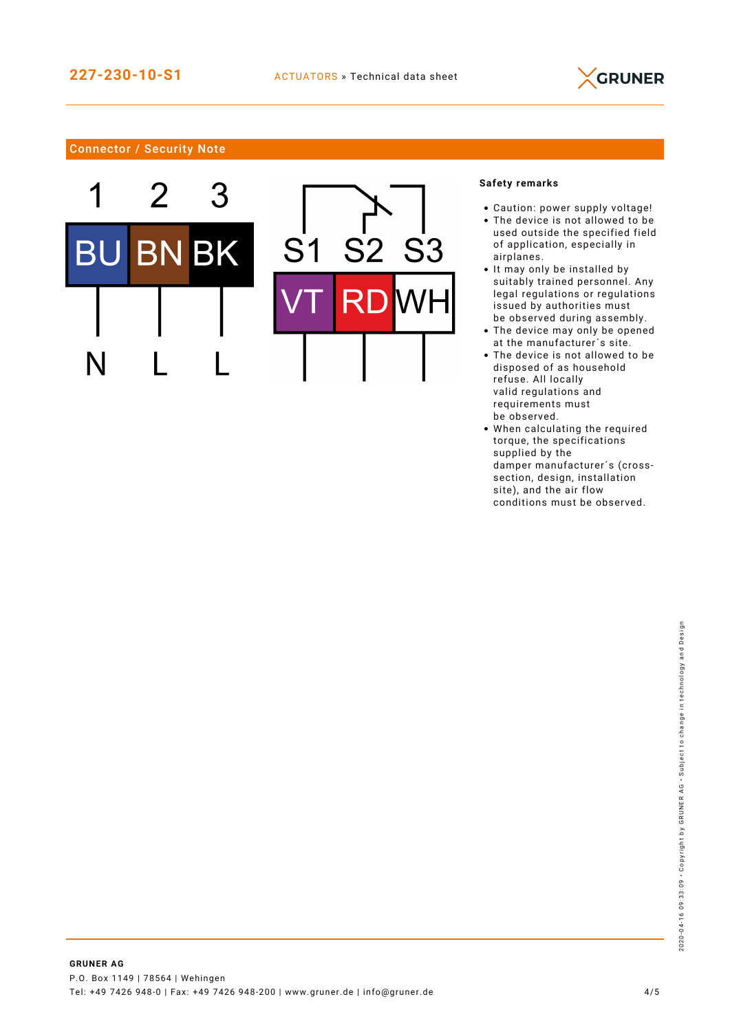

# Connector / Security Note



## **Safety remarks**

- Caution: power supply voltage!
- The device is not allowed to be used outside the specified field of application, especially in airplanes.
- It may only be installed by suitably trained personnel. Any legal regulations or regulations issued by authorities must be observed during assembly.
- The device may only be opened at the manufacturer´s site.
- The device is not allowed to be disposed of as household refuse. All locally valid regulations and requirements must be observed.
- When calculating the required torque, the specifications supplied by the damper manufacturer´s (crosssection, design, installation site), and the air flow conditions must be observed.